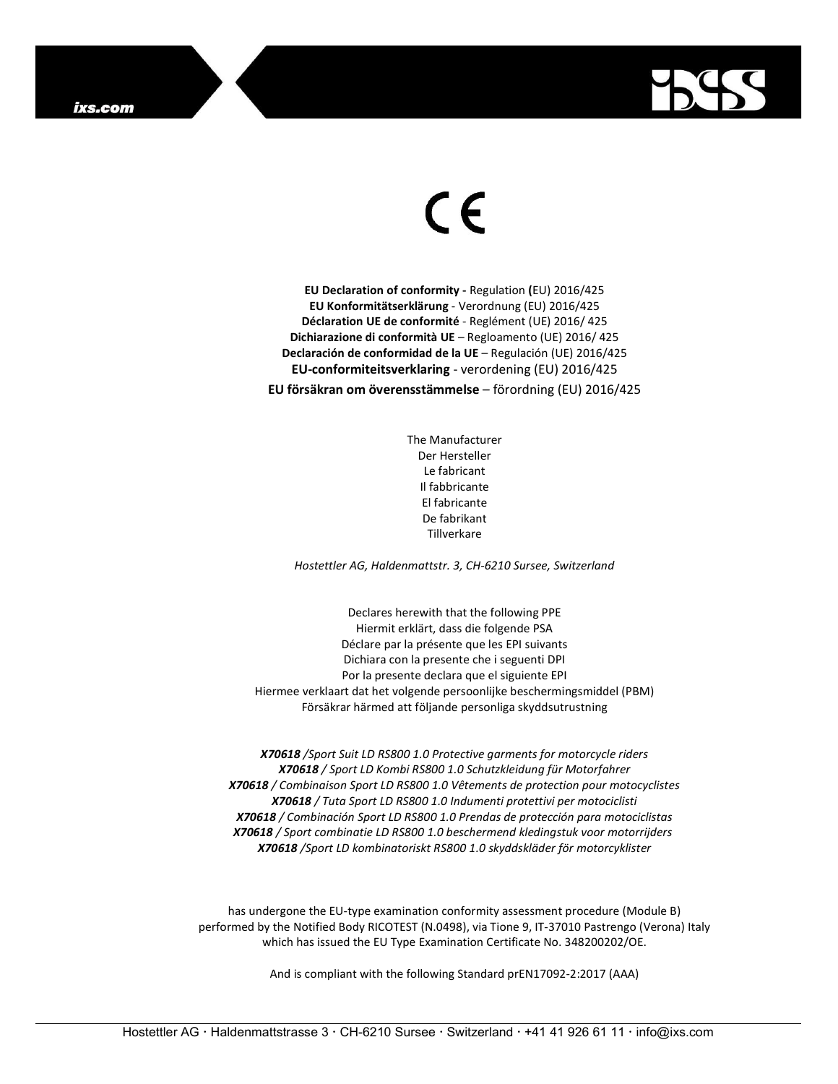

## $\epsilon$

EU Declaration of conformity - Regulation (EU) 2016/425 EU Konformitätserklärung - Verordnung (EU) 2016/425 Déclaration UE de conformité - Reglément (UE) 2016/ 425 Dichiarazione di conformità UE – Regloamento (UE) 2016/ 425 Declaración de conformidad de la UE – Regulación (UE) 2016/425 EU-conformiteitsverklaring - verordening (EU) 2016/425

EU försäkran om överensstämmelse – förordning (EU) 2016/425

The Manufacturer Der Hersteller Le fabricant Il fabbricante El fabricante De fabrikant Tillverkare

Hostettler AG, Haldenmattstr. 3, CH-6210 Sursee, Switzerland

Declares herewith that the following PPE Hiermit erklärt, dass die folgende PSA Déclare par la présente que les EPI suivants Dichiara con la presente che i seguenti DPI Por la presente declara que el siguiente EPI Hiermee verklaart dat het volgende persoonlijke beschermingsmiddel (PBM) Försäkrar härmed att följande personliga skyddsutrustning

X70618 /Sport Suit LD RS800 1.0 Protective garments for motorcycle riders X70618 / Sport LD Kombi RS800 1.0 Schutzkleidung für Motorfahrer X70618 / Combinaison Sport LD RS800 1.0 Vêtements de protection pour motocyclistes X70618 / Tuta Sport LD RS800 1.0 Indumenti protettivi per motociclisti X70618 / Combinación Sport LD RS800 1.0 Prendas de protección para motociclistas X70618 / Sport combinatie LD RS800 1.0 beschermend kledingstuk voor motorrijders X70618 /Sport LD kombinatoriskt RS800 1.0 skyddskläder för motorcyklister

has undergone the EU-type examination conformity assessment procedure (Module B) performed by the Notified Body RICOTEST (N.0498), via Tione 9, IT-37010 Pastrengo (Verona) Italy which has issued the EU Type Examination Certificate No. 348200202/OE.

And is compliant with the following Standard prEN17092-2:2017 (AAA)